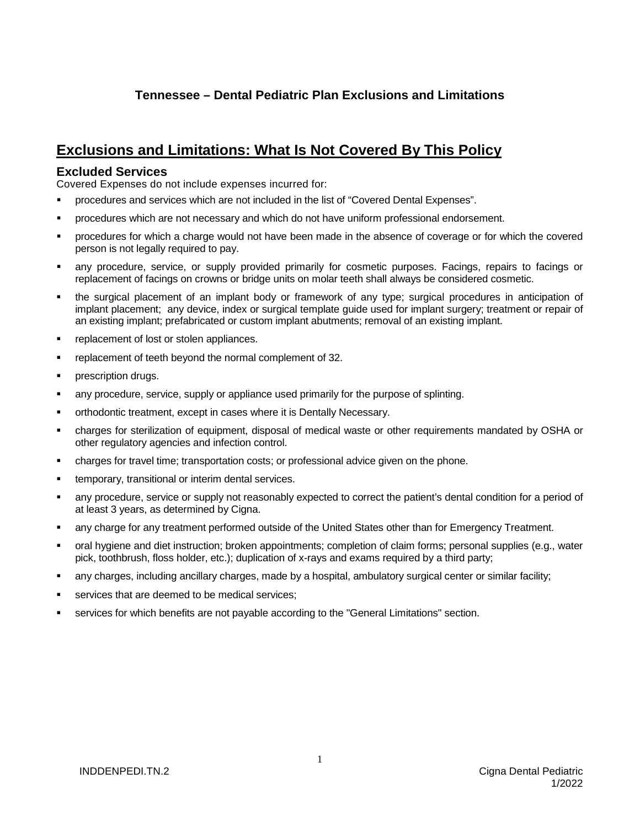## **Tennessee – Dental Pediatric Plan Exclusions and Limitations**

## **Exclusions and Limitations: What Is Not Covered By This Policy**

## **Excluded Services**

Covered Expenses do not include expenses incurred for:

- procedures and services which are not included in the list of "Covered Dental Expenses".
- procedures which are not necessary and which do not have uniform professional endorsement.
- procedures for which a charge would not have been made in the absence of coverage or for which the covered person is not legally required to pay.
- any procedure, service, or supply provided primarily for cosmetic purposes. Facings, repairs to facings or replacement of facings on crowns or bridge units on molar teeth shall always be considered cosmetic.
- the surgical placement of an implant body or framework of any type; surgical procedures in anticipation of implant placement; any device, index or surgical template guide used for implant surgery; treatment or repair of an existing implant; prefabricated or custom implant abutments; removal of an existing implant.
- replacement of lost or stolen appliances.
- replacement of teeth beyond the normal complement of 32.
- prescription drugs.
- any procedure, service, supply or appliance used primarily for the purpose of splinting.
- orthodontic treatment, except in cases where it is Dentally Necessary.
- charges for sterilization of equipment, disposal of medical waste or other requirements mandated by OSHA or other regulatory agencies and infection control.
- charges for travel time; transportation costs; or professional advice given on the phone.
- temporary, transitional or interim dental services.
- any procedure, service or supply not reasonably expected to correct the patient's dental condition for a period of at least 3 years, as determined by Cigna.
- any charge for any treatment performed outside of the United States other than for Emergency Treatment.
- oral hygiene and diet instruction; broken appointments; completion of claim forms; personal supplies (e.g., water pick, toothbrush, floss holder, etc.); duplication of x-rays and exams required by a third party;
- any charges, including ancillary charges, made by a hospital, ambulatory surgical center or similar facility;
- services that are deemed to be medical services;
- services for which benefits are not payable according to the "General Limitations" section.